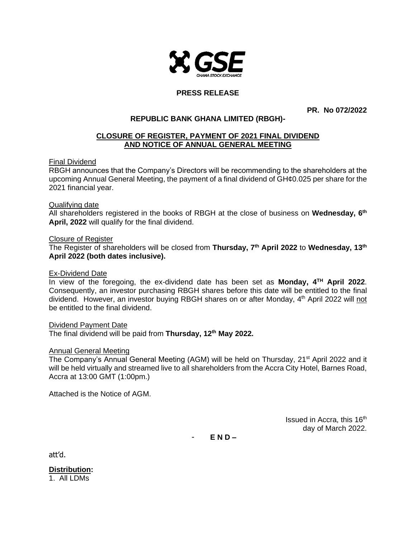

# **PRESS RELEASE**

**PR. No 072/2022**

## **REPUBLIC BANK GHANA LIMITED (RBGH)-**

### **CLOSURE OF REGISTER, PAYMENT OF 2021 FINAL DIVIDEND AND NOTICE OF ANNUAL GENERAL MEETING**

#### Final Dividend

RBGH announces that the Company's Directors will be recommending to the shareholders at the upcoming Annual General Meeting, the payment of a final dividend of GH¢0.025 per share for the 2021 financial year.

#### Qualifying date

All shareholders registered in the books of RBGH at the close of business on **Wednesday, 6 th April, 2022** will qualify for the final dividend.

#### Closure of Register

The Register of shareholders will be closed from **Thursday, 7th April 2022** to **Wednesday, 13th April 2022 (both dates inclusive).**

### Ex-Dividend Date

In view of the foregoing, the ex-dividend date has been set as **Monday, 4 TH April 2022**. Consequently, an investor purchasing RBGH shares before this date will be entitled to the final dividend. However, an investor buying RBGH shares on or after Monday, 4<sup>th</sup> April 2022 will not be entitled to the final dividend.

#### Dividend Payment Date

The final dividend will be paid from **Thursday, 12th May 2022.**

#### Annual General Meeting

The Company's Annual General Meeting (AGM) will be held on Thursday, 21<sup>st</sup> April 2022 and it will be held virtually and streamed live to all shareholders from the Accra City Hotel, Barnes Road, Accra at 13:00 GMT (1:00pm.)

Attached is the Notice of AGM.

Issued in Accra, this 16<sup>th</sup> day of March 2022.

- **E N D –**

att'd.

**Distribution:**

1. All LDMs